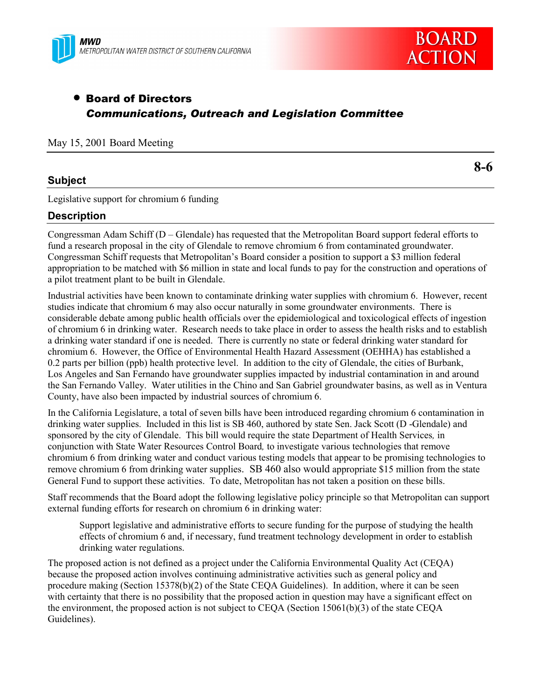



# • Board of Directors *Communications, Outreach and Legislation Committee*

May 15, 2001 Board Meeting

#### **Subject**

**8-6**

Legislative support for chromium 6 funding

## **Description**

Congressman Adam Schiff ( $D - G$ lendale) has requested that the Metropolitan Board support federal efforts to fund a research proposal in the city of Glendale to remove chromium 6 from contaminated groundwater. Congressman Schiff requests that Metropolitan's Board consider a position to support a \$3 million federal appropriation to be matched with \$6 million in state and local funds to pay for the construction and operations of a pilot treatment plant to be built in Glendale.

Industrial activities have been known to contaminate drinking water supplies with chromium 6. However, recent studies indicate that chromium 6 may also occur naturally in some groundwater environments. There is considerable debate among public health officials over the epidemiological and toxicological effects of ingestion of chromium 6 in drinking water. Research needs to take place in order to assess the health risks and to establish a drinking water standard if one is needed. There is currently no state or federal drinking water standard for chromium 6. However, the Office of Environmental Health Hazard Assessment (OEHHA) has established a 0.2 parts per billion (ppb) health protective level. In addition to the city of Glendale, the cities of Burbank, Los Angeles and San Fernando have groundwater supplies impacted by industrial contamination in and around the San Fernando Valley. Water utilities in the Chino and San Gabriel groundwater basins, as well as in Ventura County, have also been impacted by industrial sources of chromium 6.

In the California Legislature, a total of seven bills have been introduced regarding chromium 6 contamination in drinking water supplies. Included in this list is SB 460, authored by state Sen. Jack Scott (D -Glendale) and sponsored by the city of Glendale. This bill would require the state Department of Health Services*,* in conjunction with State Water Resources Control Board*,* to investigate various technologies that remove chromium 6 from drinking water and conduct various testing models that appear to be promising technologies to remove chromium 6 from drinking water supplies. SB 460 also would appropriate \$15 million from the state General Fund to support these activities. To date, Metropolitan has not taken a position on these bills.

Staff recommends that the Board adopt the following legislative policy principle so that Metropolitan can support external funding efforts for research on chromium 6 in drinking water:

Support legislative and administrative efforts to secure funding for the purpose of studying the health effects of chromium 6 and, if necessary, fund treatment technology development in order to establish drinking water regulations.

The proposed action is not defined as a project under the California Environmental Quality Act (CEQA) because the proposed action involves continuing administrative activities such as general policy and procedure making (Section 15378(b)(2) of the State CEQA Guidelines). In addition, where it can be seen with certainty that there is no possibility that the proposed action in question may have a significant effect on the environment, the proposed action is not subject to CEQA (Section 15061(b)(3) of the state CEQA Guidelines).